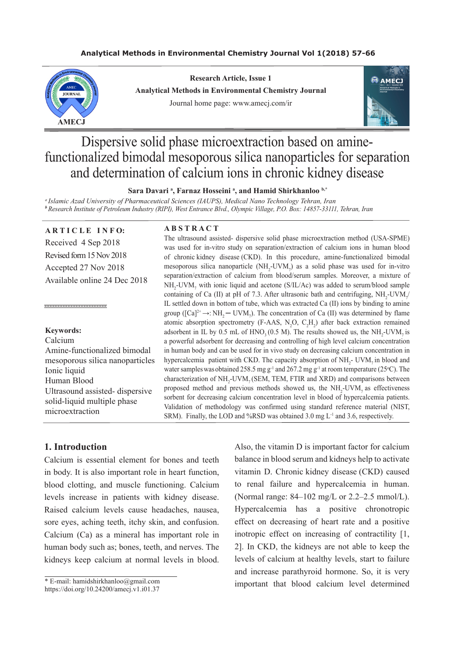#### **Analytical Methods in Environmental Chemistry Journal Vol 1(2018) 57-66**



**Research Article, Issue 1 Analytical Methods in Environmental Chemistry Journal** Journal home page: www.amecj.com/ir



# Dispersive solid phase microextraction based on aminefunctionalized bimodal mesoporous silica nanoparticles for separation and determination of calcium ions in chronic kidney disease

#### Sara Davari<sup>a</sup>, Farnaz Hosseini<sup>a</sup>, and Hamid Shirkhanloo<sup>b,\*</sup>

*a Islamic Azad University of Pharmaceutical Sciences (IAUPS), Medical Nano Technology Tehran, Iran <sup>b</sup>Research Institute of Petroleum Industry (RIPI), West Entrance Blvd., Olympic Village, P.O. Box: 14857-33111, Tehran, Iran*

#### **ARTICLE INFO:**

Received 4 Sep 2018 Revised form 15 Nov 2018 Accepted 27 Nov 2018 Available online 24 Dec 2018

## **Keywords:**

------------------------

Calcium Amine-functionalized bimodal mesoporous silica nanoparticles Ionic liquid Human Blood Ultrasound assisted- dispersive solid-liquid multiple phase microextraction

#### **A B S T R A C T**

The ultrasound assisted- dispersive solid phase microextraction method (USA-SPME) was used for in-vitro study on separation/extraction of calcium ions in human blood of chronic kidney disease (CKD). In this procedure, amine-functionalized bimodal mesoporous silica nanoparticle  $(NH_2$ -UVM<sub>7</sub>) as a solid phase was used for in-vitro separation/extraction of calcium from blood/serum samples. Moreover, a mixture of  $NH<sub>2</sub>-UVM<sub>7</sub>$  with ionic liquid and acetone (S/IL/Ac) was added to serum/blood sample containing of Ca (II) at pH of 7.3. After ultrasonic bath and centrifuging,  $NH_2$ -UVM<sub>7</sub>/ IL settled down in bottom of tube, which was extracted Ca (II) ions by binding to amine group ( $[Ca]^{2+} \rightarrow :NH_2 \rightarrow UN_7$ ). The concentration of Ca (II) was determined by flame atomic absorption spectrometry (F-AAS,  $N_2O$ ,  $C_2H_2$ ) after back extraction remained adsorbent in IL by 0.5 mL of  $HNO<sub>3</sub>(0.5 M)$ . The results showed us, the  $NH<sub>2</sub>-UVM<sub>7</sub>$  is a powerful adsorbent for decreasing and controlling of high level calcium concentration in human body and can be used for in vivo study on decreasing calcium concentration in hypercalcemia patient with CKD. The capacity absorption of  $NH<sub>2</sub>$ - UVM<sub>7</sub> in blood and water samples was obtained 258.5 mg  $g^{-1}$  and 267.2 mg  $g^{-1}$  at room temperature (25°C). The characterization of  $NH_2$ -UVM<sub>7</sub> (SEM, TEM, FTIR and XRD) and comparisons between proposed method and previous methods showed us, the  $NH<sub>2</sub>-UVM<sub>7</sub>$  as effectiveness sorbent for decreasing calcium concentration level in blood of hypercalcemia patients. Validation of methodology was confirmed using standard reference material (NIST, SRM). Finally, the LOD and %RSD was obtained  $3.0 \text{ me } L^{-1}$  and  $3.6$ , respectively.

#### **1. Introduction**

Calcium is essential element for bones and teeth in body. It is also important role in heart function, blood clotting, and muscle functioning. Calcium levels increase in patients with kidney disease. Raised calcium levels cause headaches, nausea, sore eyes, aching teeth, itchy skin, and confusion. Calcium (Ca) as a mineral has important role in human body such as; bones, teeth, and nerves. The kidneys keep calcium at normal levels in blood.

\* E-mail: hamidshirkhanloo@gmail.com

https://doi.org/10.24200/amecj.v1.i01.37

Also, the vitamin D is important factor for calcium balance in blood serum and kidneys help to activate vitamin D. Chronic kidney disease (CKD) caused to renal failure and hypercalcemia in human. (Normal range: 84–102 mg/L or 2.2–2.5 mmol/L). Hypercalcemia has a positive chronotropic effect on decreasing of heart rate and a positive inotropic effect on increasing of contractility [1, 2]. In CKD, the kidneys are not able to keep the levels of calcium at healthy levels, start to failure and increase parathyroid hormone. So, it is very important that blood calcium level determined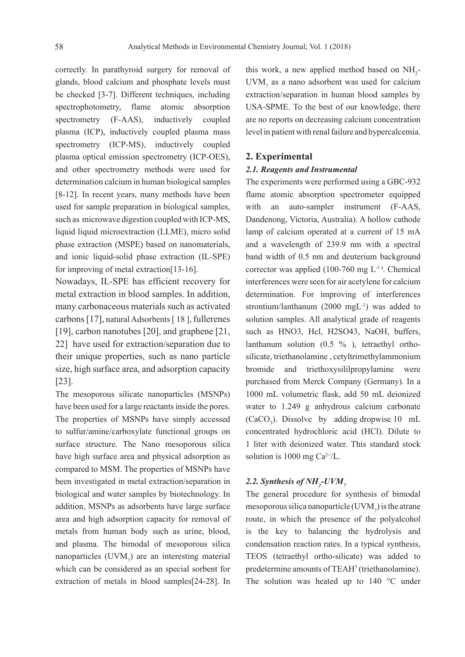correctly. In parathyroid surgery for removal of glands, blood calcium and phosphate levels must be checked [3-7]. Different techniques, including spectrophotometry, flame atomic absorption spectrometry (F-AAS), inductively coupled plasma (ICP), inductively coupled plasma mass spectrometry (ICP-MS), inductively coupled plasma optical emission spectrometry (ICP-OES), and other spectrometry methods were used for determination calcium in human biological samples [8-12]. In recent years, many methods have been used for sample preparation in biological samples, such as microwave digestion coupled with ICP-MS, liquid liquid microextraction (LLME), micro solid phase extraction (MSPE) based on nanomaterials, and ionic liquid-solid phase extraction (IL-SPE) for improving of metal extraction[13-16].

Nowadays, IL-SPE has efficient recovery for metal extraction in blood samples. In addition, many carbonaceous materials such as activated carbons [17], natural Adsorbents [ 18 ], fullerenes [19], carbon nanotubes [20], and graphene [21, 22] have used for extraction/separation due to their unique properties, such as nano particle size, high surface area, and adsorption capacity [23].

The mesoporous silicate nanoparticles (MSNPs) have been used for a large reactants inside the pores. The properties of MSNPs have simply accessed to sulfur/amine/carboxylate functional groups on surface structure. The Nano mesoporous silica have high surface area and physical adsorption as compared to MSM. The properties of MSNPs have been investigated in metal extraction/separation in biological and water samples by biotechnology. In addition, MSNPs as adsorbents have large surface area and high adsorption capacity for removal of metals from human body such as urine, blood, and plasma. The bimodal of mesoporous silica nanoparticles  $(UVM<sub>7</sub>)$  are an interesting material which can be considered as an special sorbent for extraction of metals in blood samples[24-28]. In

this work, a new applied method based on  $NH<sub>2</sub>$ - $UVM$ <sub>7</sub> as a nano adsorbent was used for calcium extraction/separation in human blood samples by USA-SPME. To the best of our knowledge, there are no reports on decreasing calcium concentration level in patient with renal failure and hypercalcemia.

#### **2. Experimental**

## *2.1. Reagents and Instrumental*

The experiments were performed using a GBC-932 flame atomic absorption spectrometer equipped with an auto-sampler instrument (F-AAS, Dandenong, Victoria, Australia). A hollow cathode lamp of calcium operated at a current of 15 mA and a wavelength of 239.9 nm with a spectral band width of 0.5 nm and deuterium background corrector was applied  $(100-760 \text{ mg L}^{-1})$ . Chemical interferences were seen for air acetylene for calcium determination. For improving of interferences strontium/lanthanum (2000 mgL<sup>-1</sup>) was added to solution samples. All analytical grade of reagents such as HNO3, Hcl, H2SO43, NaOH, buffers, lanthanum solution (0.5 % ), tetraethyl orthosilicate, triethanolamine , cetyltrimethylammonium bromide and triethoxysililpropylamine were purchased from Merck Company (Germany). In a 1000 mL volumetric flask, add 50 mL deionized water to 1.249 g anhydrous calcium carbonate  $(CaCO<sub>3</sub>)$ . Dissolve by adding dropwise 10 mL concentrated hydrochloric acid (HCl). Dilute to 1 liter with deionized water. This standard stock solution is 1000 mg  $Ca^{2+}/L$ .

# 2.2. Synthesis of NH<sub>2</sub>-UVM<sub>7</sub>

The general procedure for synthesis of bimodal mesoporous silica nanoparticle (UVM<sub>7</sub>) is the atrane route, in which the presence of the polyalcohol is the key to balancing the hydrolysis and condensation reaction rates. In a typical synthesis, TEOS (tetraethyl ortho-silicate) was added to predetermine amounts of TEAH<sup>3</sup> (triethanolamine). The solution was heated up to 140 °C under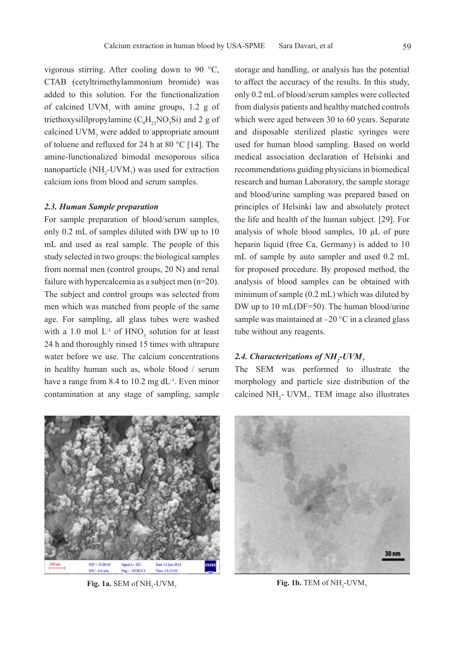vigorous stirring. After cooling down to 90 °C, CTAB (cetyltrimethylammonium bromide) was added to this solution. For the functionalization of calcined  $UVM$ <sub>7</sub> with amine groups, 1.2 g of triethoxysililpropylamine  $(C_9H_{23}NO_3Si)$  and 2 g of calcined  $UVM$ <sub>7</sub> were added to appropriate amount of toluene and refluxed for 24 h at 80 °C [14]. The amine-functionalized bimodal mesoporous silica nanoparticle  $(NH_2$ -UVM<sub>7</sub>) was used for extraction calcium ions from blood and serum samples.

#### *2.3. Human Sample preparation*

For sample preparation of blood/serum samples, only 0.2 mL of samples diluted with DW up to 10 mL and used as real sample. The people of this study selected in two groups: the biological samples from normal men (control groups, 20 N) and renal failure with hypercalcemia as a subject men (n=20). The subject and control groups was selected from men which was matched from people of the same age. For sampling, all glass tubes were washed with a 1.0 mol  $L^{-1}$  of HNO<sub>3</sub> solution for at least 24 h and thoroughly rinsed 15 times with ultrapure water before we use. The calcium concentrations in healthy human such as, whole blood / serum have a range from 8.4 to 10.2 mg dL<sup>-1</sup>. Even minor contamination at any stage of sampling, sample

storage and handling, or analysis has the potential to affect the accuracy of the results. In this study, only 0.2 mL of blood/serum samples were collected from dialysis patients and healthy matched controls which were aged between 30 to 60 years. Separate and disposable sterilized plastic syringes were used for human blood sampling. Based on world medical association declaration of Helsinki and recommendations guiding physicians in biomedical research and human Laboratory, the sample storage and blood/urine sampling was prepared based on principles of Helsinki law and absolutely protect the life and health of the human subject. [29]. For analysis of whole blood samples, 10 μL of pure heparin liquid (free Ca, Germany) is added to 10 mL of sample by auto sampler and used 0.2 mL for proposed procedure. By proposed method, the analysis of blood samples can be obtained with minimum of sample (0.2 mL) which was diluted by DW up to 10 mL(DF=50). The human blood/urine sample was maintained at  $-20$  °C in a cleaned glass tube without any reagents.

# 2.4. Characterizations of NH<sub>2</sub>-UVM<sub>7</sub>

The SEM was performed to illustrate the morphology and particle size distribution of the calcined  $NH_2$ - UVM<sub>7</sub>. TEM image also illustrates



**Fig. 1a.** SEM of NH<sub>2</sub>-UVM<sub>7</sub>



 $\text{Fig. 1b. TEM of NH}_2\text{-UVM}_7$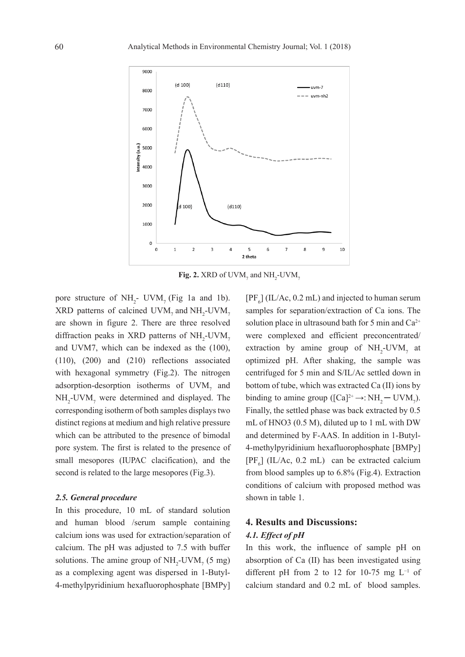

**Fig. 2.** XRD of UVM<sub>7</sub> and  $NH_2$ -UVM<sub>7</sub>

pore structure of  $NH_2$ - UVM<sub>7</sub> (Fig 1a and 1b).  $XRD$  patterns of calcined  $UVM_7$  and  $NH_2$ -UVM<sub>7</sub> are shown in figure 2. There are three resolved diffraction peaks in XRD patterns of  $NH_2$ -UVM<sub>7</sub> and UVM7, which can be indexed as the (100), (110), (200) and (210) reflections associated with hexagonal symmetry (Fig.2). The nitrogen adsorption-desorption isotherms of  $UVM$ <sub>7</sub> and  $NH<sub>2</sub>$ -UVM<sub>7</sub> were determined and displayed. The corresponding isotherm of both samples displays two distinct regions at medium and high relative pressure which can be attributed to the presence of bimodal pore system. The first is related to the presence of small mesopores (IUPAC clacification), and the second is related to the large mesopores (Fig.3).

#### *2.5. General procedure*

In this procedure, 10 mL of standard solution and human blood /serum sample containing calcium ions was used for extraction/separation of calcium. The pH was adjusted to 7.5 with buffer solutions. The amine group of  $NH_2$ -UVM<sub>7</sub> (5 mg) as a complexing agent was dispersed in 1-Butyl-4-methylpyridinium hexafluorophosphate [BMPy]

 $[PF_6]$  (IL/Ac, 0.2 mL) and injected to human serum samples for separation/extraction of Ca ions. The solution place in ultrasound bath for 5 min and  $Ca^{2+}$ were complexed and efficient preconcentrated/ extraction by amine group of  $NH<sub>2</sub>-UVM<sub>7</sub>$  at optimized pH. After shaking, the sample was centrifuged for 5 min and S/IL/Ac settled down in bottom of tube, which was extracted Ca (II) ions by binding to amine group ( $[Ca]^{2+} \rightarrow :NH_2$  – UVM<sub>7</sub>). Finally, the settled phase was back extracted by 0.5 mL of HNO3 (0.5 M), diluted up to 1 mL with DW and determined by F-AAS. In addition in 1-Butyl-4-methylpyridinium hexafluorophosphate [BMPy]  $[PF_6]$  (IL/Ac, 0.2 mL) can be extracted calcium from blood samples up to 6.8% (Fig.4). Extraction conditions of calcium with proposed method was shown in table 1.

# **4. Results and Discussions:**

# *4.1. Effect of pH*

In this work, the influence of sample pH on absorption of Ca (II) has been investigated using different pH from 2 to 12 for 10-75 mg  $L^{-1}$  of calcium standard and 0.2 mL of blood samples.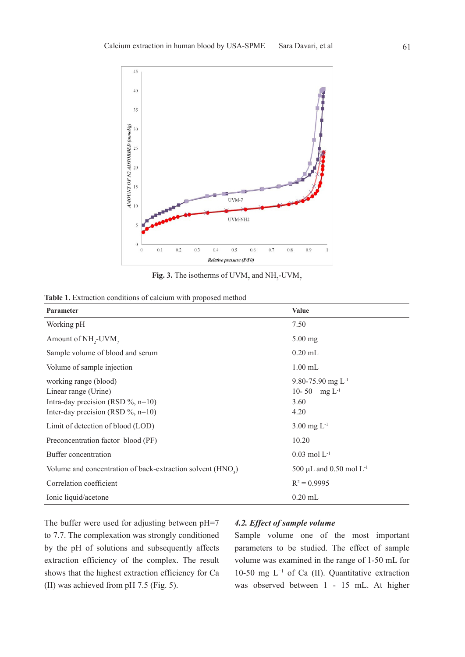

**Fig. 3.** The isotherms of UVM<sub>7</sub> and  $NH_2$ -UVM<sub>7</sub>

|  | <b>Table 1.</b> Extraction conditions of calcium with proposed method |  |  |  |  |  |
|--|-----------------------------------------------------------------------|--|--|--|--|--|
|--|-----------------------------------------------------------------------|--|--|--|--|--|

| Parameter                                                                                                                       | <b>Value</b>                                                |
|---------------------------------------------------------------------------------------------------------------------------------|-------------------------------------------------------------|
| Working pH                                                                                                                      | 7.50                                                        |
| Amount of NH <sub>2</sub> -UVM <sub>7</sub>                                                                                     | $5.00$ mg                                                   |
| Sample volume of blood and serum                                                                                                | $0.20$ mL                                                   |
| Volume of sample injection                                                                                                      | $1.00$ mL                                                   |
| working range (blood)<br>Linear range (Urine)<br>Intra-day precision (RSD $\%$ , n=10)<br>Inter-day precision (RSD $\%$ , n=10) | 9.80-75.90 mg $L^{-1}$<br>10-50 mg $L^{-1}$<br>3.60<br>4.20 |
| Limit of detection of blood (LOD)                                                                                               | $3.00 \text{ mg } L^{-1}$                                   |
| Preconcentration factor blood (PF)                                                                                              | 10.20                                                       |
| Buffer concentration                                                                                                            | $0.03$ mol $L^{-1}$                                         |
| Volume and concentration of back-extraction solvent (HNO <sub>2</sub> )                                                         | 500 µL and 0.50 mol $L^{-1}$                                |
| Correlation coefficient                                                                                                         | $R^2 = 0.9995$                                              |
| Ionic liquid/acetone                                                                                                            | $0.20$ mL                                                   |

The buffer were used for adjusting between pH=7 to 7.7. The complexation was strongly conditioned by the pH of solutions and subsequently affects extraction efficiency of the complex. The result shows that the highest extraction efficiency for Ca (II) was achieved from pH 7.5 (Fig. 5).

#### *4.2. Effect of sample volume*

Sample volume one of the most important parameters to be studied. The effect of sample volume was examined in the range of 1-50 mL for 10-50 mg L−1 of Ca (II). Quantitative extraction was observed between 1 - 15 mL. At higher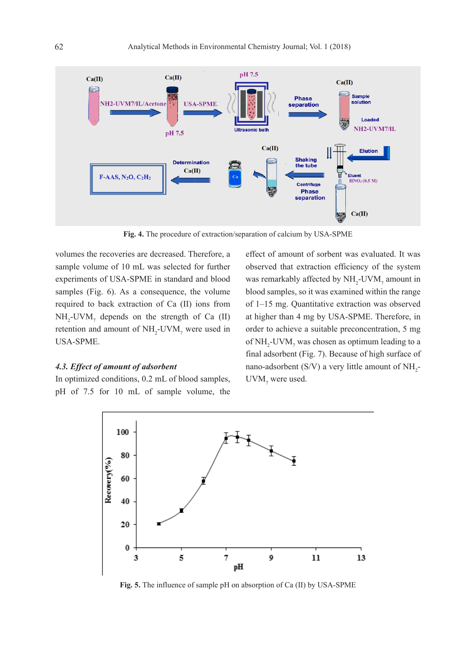

**Fig. 4.** The procedure of extraction/separation of calcium by USA-SPME

volumes the recoveries are decreased. Therefore, a sample volume of 10 mL was selected for further experiments of USA-SPME in standard and blood samples (Fig. 6). As a consequence, the volume required to back extraction of Ca (II) ions from  $NH<sub>2</sub>-UVM<sub>7</sub>$  depends on the strength of Ca (II) retention and amount of  $NH_2$ -UVM<sub>7</sub> were used in USA-SPME.

#### *4.3. Effect of amount of adsorbent*

In optimized conditions, 0.2 mL of blood samples, pH of 7.5 for 10 mL of sample volume, the effect of amount of sorbent was evaluated. It was observed that extraction efficiency of the system was remarkably affected by  $NH_2$ -UVM<sub>7</sub> amount in blood samples, so it was examined within the range of 1–15 mg. Quantitative extraction was observed at higher than 4 mg by USA-SPME. Therefore, in order to achieve a suitable preconcentration, 5 mg of  $NH_2$ -UVM<sub>7</sub> was chosen as optimum leading to a final adsorbent (Fig. 7). Because of high surface of nano-adsorbent (S/V) a very little amount of  $NH_2$ - $UVM$ <sub>7</sub> were used.



**Fig. 5.** The influence of sample pH on absorption of Ca (II) by USA-SPME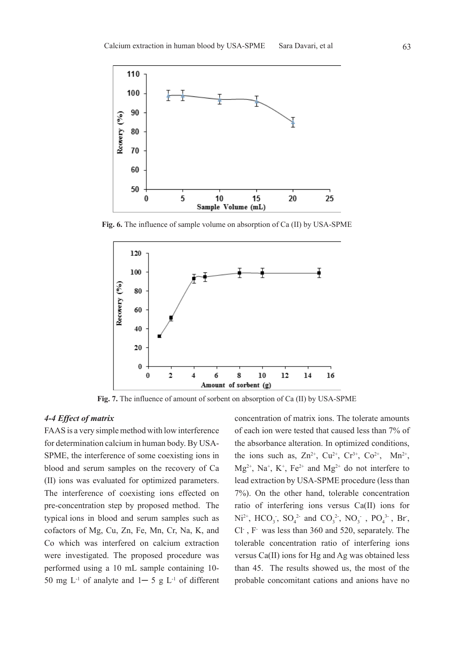

**Fig. 6.** The influence of sample volume on absorption of Ca (II) by USA-SPME



**Fig. 7.** The influence of amount of sorbent on absorption of Ca (II) by USA-SPME

#### *4-4 Effect of matrix*

FAAS is a very simple method with low interference for determination calcium in human body. By USA-SPME, the interference of some coexisting ions in blood and serum samples on the recovery of Ca (II) ions was evaluated for optimized parameters. The interference of coexisting ions effected on pre-concentration step by proposed method. The typical ions in blood and serum samples such as cofactors of Mg, Cu, Zn, Fe, Mn, Cr, Na, K, and Co which was interfered on calcium extraction were investigated. The proposed procedure was performed using a 10 mL sample containing 10- 50 mg  $L^{-1}$  of analyte and  $1-5$  g  $L^{-1}$  of different concentration of matrix ions. The tolerate amounts of each ion were tested that caused less than 7% of the absorbance alteration. In optimized conditions, the ions such as,  $Zn^{2+}$ ,  $Cu^{2+}$ ,  $Cr^{3+}$ ,  $Co^{2+}$ ,  $Mn^{2+}$ ,  $Mg^{2+}$ , Na<sup>+</sup>, K<sup>+</sup>, Fe<sup>2+</sup> and Mg<sup>2+</sup> do not interfere to lead extraction by USA-SPME procedure (less than 7%). On the other hand, tolerable concentration ratio of interfering ions versus Ca(II) ions for  $Ni^{2+}$ ,  $HCO_3$ ,  $SO_4^2$  and  $CO_3^2$ ,  $NO_3^2$ ,  $PO_4^3$ , Br, Cl- , F- was less than 360 and 520, separately. The tolerable concentration ratio of interfering ions versus Ca(II) ions for Hg and Ag was obtained less than 45. The results showed us, the most of the probable concomitant cations and anions have no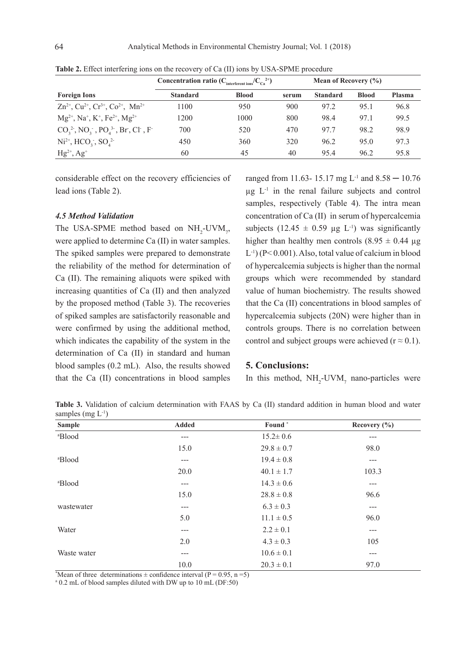|                                                                                              | Concentration ratio $(C_{\text{interferent ions}}/C_{\text{Ca}}^{2+})$ |              |       | <b>Mean of Recovery <math>(\% )</math></b> |              |               |
|----------------------------------------------------------------------------------------------|------------------------------------------------------------------------|--------------|-------|--------------------------------------------|--------------|---------------|
| <b>Foreign Ions</b>                                                                          | <b>Standard</b>                                                        | <b>Blood</b> | serum | <b>Standard</b>                            | <b>Blood</b> | <b>Plasma</b> |
| $\text{Zn}^{2+}$ , Cu <sup>2+</sup> , Cr <sup>3+</sup> , Co <sup>2+</sup> , Mn <sup>2+</sup> | 1100                                                                   | 950          | 900   | 97.2                                       | 95.1         | 96.8          |
| $Mg^{2+}$ , Na <sup>+</sup> , K <sup>+</sup> , Fe <sup>2+</sup> , Mg <sup>2+</sup>           | 1200                                                                   | 1000         | 800   | 98.4                                       | 97.1         | 99.5          |
| $CO_3^2$ , NO <sub>3</sub> , PO <sub>4</sub> <sup>3</sup> , Br, Cl, F                        | 700                                                                    | 520          | 470   | 977                                        | 98.2         | 98.9          |
| $Ni^{2+}$ , $HCO_3^-$ , $SO_4^2$                                                             | 450                                                                    | 360          | 320   | 96.2                                       | 95.0         | 97.3          |
| $Hg^{2+}, Ag^{+}$                                                                            | 60                                                                     | 45           | 40    | 95.4                                       | 96.2         | 95.8          |

**Table 2.** Effect interfering ions on the recovery of Ca (II) ions by USA-SPME procedure

considerable effect on the recovery efficiencies of lead ions (Table 2).

#### *4.5 Method Validation*

The USA-SPME method based on  $NH<sub>2</sub>$ -UVM<sub>7</sub>, were applied to determine Ca (II) in water samples. The spiked samples were prepared to demonstrate the reliability of the method for determination of Ca (II). The remaining aliquots were spiked with increasing quantities of Ca (II) and then analyzed by the proposed method (Table 3). The recoveries of spiked samples are satisfactorily reasonable and were confirmed by using the additional method, which indicates the capability of the system in the determination of Ca (II) in standard and human blood samples (0.2 mL). Also, the results showed that the Ca (II) concentrations in blood samples

ranged from 11.63- 15.17 mg  $L^{-1}$  and 8.58  $-$  10.76  $\mu$ g L<sup>-1</sup> in the renal failure subjects and control samples, respectively (Table 4). The intra mean concentration of Ca (II) in serum of hypercalcemia subjects (12.45  $\pm$  0.59 µg L<sup>-1</sup>) was significantly higher than healthy men controls  $(8.95 \pm 0.44 \text{ µg})$  $L^{-1}$ ) (P< 0.001). Also, total value of calcium in blood of hypercalcemia subjects is higher than the normal groups which were recommended by standard value of human biochemistry. The results showed that the Ca (II) concentrations in blood samples of hypercalcemia subjects (20N) were higher than in controls groups. There is no correlation between control and subject groups were achieved ( $r \approx 0.1$ ).

#### **5. Conclusions:**

In this method,  $NH_2$ -UVM<sub>7</sub> nano-particles were

**Table 3.** Validation of calcium determination with FAAS by Ca (II) standard addition in human blood and water samples (mg  $L^{-1}$ )

| <b>Sample</b>      | <b>Added</b> | Found <sup>*</sup> | Recovery $(\% )$ |
|--------------------|--------------|--------------------|------------------|
| <sup>a</sup> Blood | ---          | $15.2 \pm 0.6$     | ---              |
|                    | 15.0         | $29.8 \pm 0.7$     | 98.0             |
| <sup>a</sup> Blood | ---          | $19.4 \pm 0.8$     | ---              |
|                    | 20.0         | $40.1 \pm 1.7$     | 103.3            |
| <sup>a</sup> Blood | ---          | $14.3 \pm 0.6$     | ---              |
|                    | 15.0         | $28.8 \pm 0.8$     | 96.6             |
| wastewater         | ---          | $6.3 \pm 0.3$      | ---              |
|                    | 5.0          | $11.1 \pm 0.5$     | 96.0             |
| Water              | $---$        | $2.2 \pm 0.1$      | ---              |
|                    | 2.0          | $4.3 \pm 0.3$      | 105              |
| Waste water        | ---          | $10.6 \pm 0.1$     | ---              |
|                    | 10.0         | $20.3 \pm 0.1$     | 97.0             |

\*Mean of three determinations  $\pm$  confidence interval (P = 0.95, n = 5)

<sup>a</sup> 0.2 mL of blood samples diluted with DW up to 10 mL (DF:50)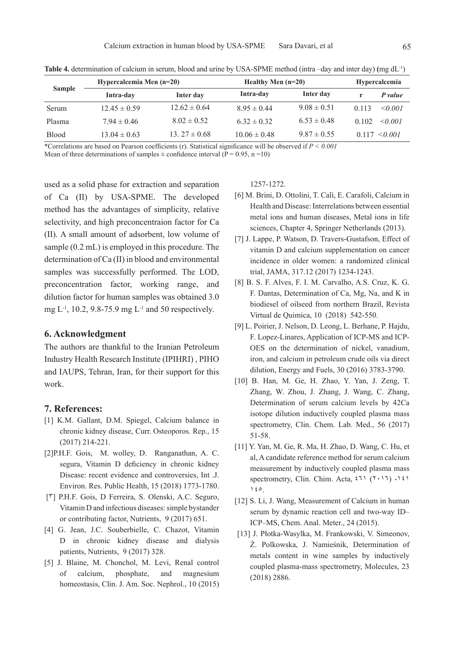|               | Hypercalcemia Men $(n=20)$ |                   | Healthy Men $(n=20)$ | <b>Hypercalcemia</b> |       |                   |
|---------------|----------------------------|-------------------|----------------------|----------------------|-------|-------------------|
| <b>Sample</b> | Intra-day                  | Inter day         | Intra-day            | Inter day            |       | P value           |
| Serum         | $12.45 \pm 0.59$           | $12.62 \pm 0.64$  | $8.95 \pm 0.44$      | $9.08 \pm 0.51$      | 0.113 | $\leq 0.001$      |
| Plasma        | $7.94 \pm 0.46$            | $8.02 \pm 0.52$   | $6.32 \pm 0.32$      | $6.53 \pm 0.48$      | 0.102 | $\leq 0.001$      |
| <b>Blood</b>  | $13.04 \pm 0.63$           | 13. $27 \pm 0.68$ | $10.06 \pm 0.48$     | $9.87 \pm 0.55$      |       | $0.117 \le 0.001$ |

**Table 4.** determination of calcium in serum, blood and urine by USA-SPME method (intra –day and inter day) **(**mg dL-1)

\*Correlations are based on Pearson coefficients (r). Statistical significance will be observed if *P < 0.001*

Mean of three determinations of samples  $\pm$  confidence interval ( $\overline{P} = 0.95$ , n = 10)

used as a solid phase for extraction and separation of Ca (II) by USA-SPME. The developed method has the advantages of simplicity, relative selectivity, and high preconcentraion factor for Ca (II). A small amount of adsorbent, low volume of sample (0.2 mL) is employed in this procedure. The determination of Ca (II) in blood and environmental samples was successfully performed. The LOD, preconcentration factor, working range, and dilution factor for human samples was obtained 3.0 mg L-1, 10.2, 9.8-75.9 mg L-1 and 50 respectively.

#### **6. Acknowledgment**

The authors are thankful to the Iranian Petroleum Industry Health Research Institute (IPIHRI) , PIHO and IAUPS, Tehran, Iran, for their support for this work.

#### **7. References:**

- [1] K.M. Gallant, D.M. Spiegel, Calcium balance in chronic kidney disease, Curr. Osteoporos. Rep., 15 (2017) 214-221.
- [2]P.H.F. Gois, M. wolley, D. Ranganathan, A. C. segura, Vitamin D deficiency in chronic kidney Disease: recent evidence and controversies, Int .J. Environ. Res. Public Health, 15 (2018) 1773-1780.
- [3] P.H.F. Gois, D Ferreira, S. Olenski, A.C. Seguro, Vitamin D and infectious diseases: simple bystander or contributing factor, Nutrients, 9 (2017) 651.
- [4] G. Jean, J.C. Souberbielle, C. Chazot, Vitamin D in chronic kidney disease and dialysis patients, Nutrients, 9 (2017) 328.
- [5] J. Blaine, M. Chonchol, M. Levi, Renal control of calcium, phosphate, and magnesium homeostasis, Clin. J. Am. Soc. Nephrol., 10 (2015)

1257-1272.

- [6] M. Brini, D. Ottolini, T. Calì, E. Carafoli, Calcium in Health and Disease: Interrelations between essential metal ions and human diseases, Metal ions in life sciences, Chapter 4, Springer Netherlands (2013).
- [7] J. Lappe, P. Watson, D. Travers-Gustafson, Effect of vitamin D and calcium supplementation on cancer incidence in older women: a randomized clinical trial, JAMA, 317.12 (2017) 1234-1243.
- [8] B. S. F. Alves, F. I. M. Carvalho, A.S. Cruz, K. G. F. Dantas, Determination of Ca, Mg, Na, and K in biodiesel of oilseed from northern Brazil, Revista Virtual de Quimica, 10 (2018) 542-550.
- [9] L. Poirier, J. Nelson, D. Leong, L. Berhane, P. Hajdu, F. Lopez-Linares, Application of ICP-MS and ICP-OES on the determination of nickel, vanadium, iron, and calcium in petroleum crude oils via direct dilution, Energy and Fuels, 30 (2016) 3783-3790.
- [10] B. Han, M. Ge, H. Zhao, Y. Yan, J. Zeng, T. Zhang, W. Zhou, J. Zhang, J. Wang, C. Zhang, Determination of serum calcium levels by 42Ca isotope dilution inductively coupled plasma mass spectrometry, Clin. Chem. Lab. Med., 56 (2017) 51-58.
- [11] Y. Yan, M. Ge, R. Ma, H. Zhao, D. Wang, C. Hu, et al, A candidate reference method for serum calcium measurement by inductively coupled plasma mass spectrometry, Clin. Chim. Acta,  $2\pi$  ( $2\pi$ ) -141  $160$
- [12] S. Li, J. Wang, Measurement of Calcium in human serum by dynamic reaction cell and two-way ID– ICP–MS, Chem. Anal. Meter., 24 (2015).
- [13] J. Płotka-Wasylka, M. Frankowski, V. Simeonov, Ż. Polkowska, J. Namieśnik, Determination of metals content in wine samples by inductively coupled plasma-mass spectrometry, Molecules, 23 (2018) 2886.